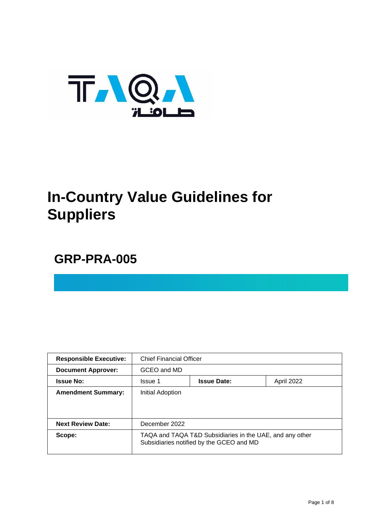

# **In-Country Value Guidelines for Suppliers**

# **GRP-PRA-005**

| <b>Responsible Executive:</b> | <b>Chief Financial Officer</b>                                                                       |                    |            |
|-------------------------------|------------------------------------------------------------------------------------------------------|--------------------|------------|
| <b>Document Approver:</b>     | GCEO and MD                                                                                          |                    |            |
| <b>Issue No:</b>              | <b>Issue 1</b>                                                                                       | <b>Issue Date:</b> | April 2022 |
| <b>Amendment Summary:</b>     | Initial Adoption                                                                                     |                    |            |
|                               |                                                                                                      |                    |            |
| <b>Next Review Date:</b>      | December 2022                                                                                        |                    |            |
| Scope:                        | TAQA and TAQA T&D Subsidiaries in the UAE, and any other<br>Subsidiaries notified by the GCEO and MD |                    |            |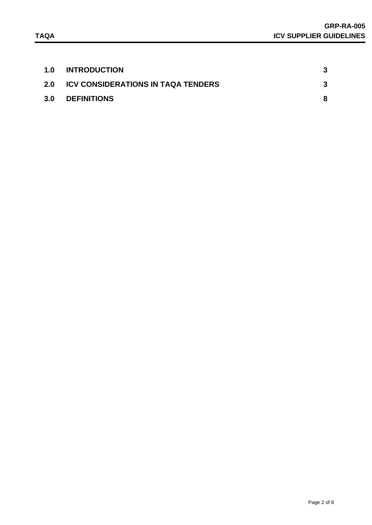| 1.0 | <b>INTRODUCTION</b>                       |  |
|-----|-------------------------------------------|--|
| 2.0 | <b>ICV CONSIDERATIONS IN TAQA TENDERS</b> |  |
| 3.0 | <b>DEFINITIONS</b>                        |  |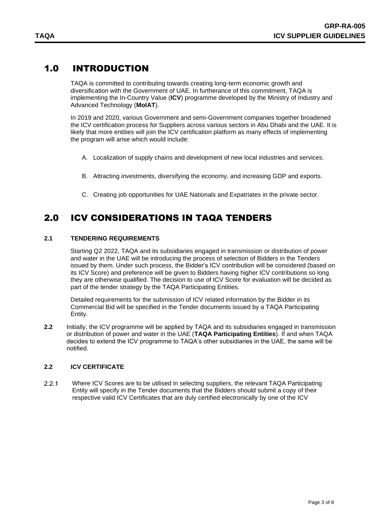# 1.0 INTRODUCTION

<span id="page-2-0"></span>TAQA is committed to contributing towards creating long-term economic growth and diversification with the Government of UAE. In furtherance of this commitment, TAQA is implementing the In-Country Value (**ICV**) programme developed by the Ministry of Industry and Advanced Technology (**MoIAT**).

In 2019 and 2020, various Government and semi-Government companies together broadened the ICV certification process for Suppliers across various sectors in Abu Dhabi and the UAE. It is likely that more entities will join the ICV certification platform as many effects of implementing the program will arise which would include:

- A. Localization of supply chains and development of new local industries and services.
- B. Attracting investments, diversifying the economy, and increasing GDP and exports.
- C. Creating job opportunities for UAE Nationals and Expatriates in the private sector.

# <span id="page-2-1"></span>2.0 ICV CONSIDERATIONS IN TAQA TENDERS

#### **2.1 TENDERING REQUIREMENTS**

Starting Q2 2022, TAQA and its subsidiaries engaged in transmission or distribution of power and water in the UAE will be introducing the process of selection of Bidders in the Tenders issued by them. Under such process, the Bidder's ICV contribution will be considered (based on its ICV Score) and preference will be given to Bidders having higher ICV contributions so long they are otherwise qualified. The decision to use of ICV Score for evaluation will be decided as part of the tender strategy by the TAQA Participating Entities.

Detailed requirements for the submission of ICV related information by the Bidder in its Commercial Bid will be specified in the Tender documents issued by a TAQA Participating Entity.

**2.2** Initially, the ICV programme will be applied by TAQA and its subsidiaries engaged in transmission or distribution of power and water in the UAE (**TAQA Participating Entities**). If and when TAQA decides to extend the ICV programme to TAQA's other subsidiaries in the UAE, the same will be notified.

#### **2.2 ICV CERTIFICATE**

 $221$ Where ICV Scores are to be utilised in selecting suppliers, the relevant TAQA Participating Entity will specify in the Tender documents that the Bidders should submit a copy of their respective valid ICV Certificates that are duly certified electronically by one of the ICV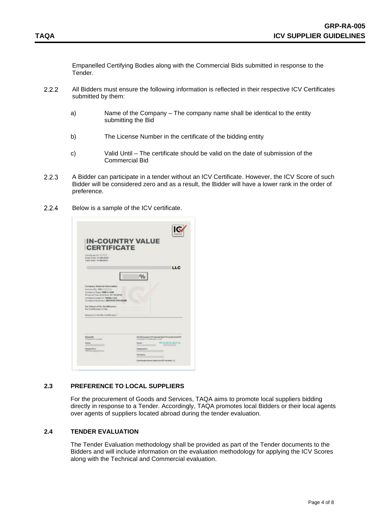Empanelled Certifying Bodies along with the Commercial Bids submitted in response to the Tender.

- $2.2.2$ All Bidders must ensure the following information is reflected in their respective ICV Certificates submitted by them:
	- a) Name of the Company The company name shall be identical to the entity submitting the Bid
	- b) The License Number in the certificate of the bidding entity
	- c) Valid Until The certificate should be valid on the date of submission of the Commercial Bid
- 2.2.3 A Bidder can participate in a tender without an ICV Certificate. However, the ICV Score of such Bidder will be considered zero and as a result, the Bidder will have a lower rank in the order of preference.
- $2.2.4$ Below is a sample of the ICV certificate.



#### **2.3 PREFERENCE TO LOCAL SUPPLIERS**

For the procurement of Goods and Services, TAQA aims to promote local suppliers bidding directly in response to a Tender. Accordingly, TAQA promotes local Bidders or their local agents over agents of suppliers located abroad during the tender evaluation.

#### **2.4 TENDER EVALUATION**

The Tender Evaluation methodology shall be provided as part of the Tender documents to the Bidders and will include information on the evaluation methodology for applying the ICV Scores along with the Technical and Commercial evaluation.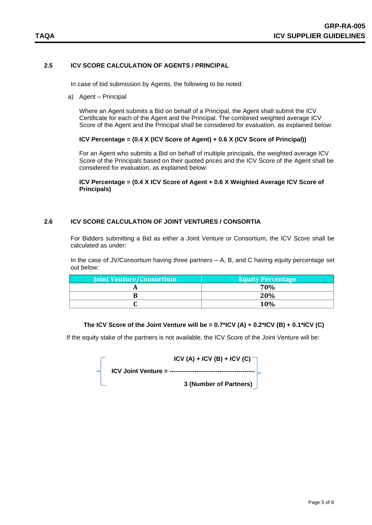### **2.5 ICV SCORE CALCULATION OF AGENTS / PRINCIPAL**

In case of bid submission by Agents, the following to be noted:

a) Agent – Principal

Where an Agent submits a Bid on behalf of a Principal, the Agent shall submit the ICV Certificate for each of the Agent and the Principal. The combined weighted average ICV Score of the Agent and the Principal shall be considered for evaluation, as explained below:

**ICV Percentage = (0.4 X (ICV Score of Agent) + 0.6 X (ICV Score of Principal))**

For an Agent who submits a Bid on behalf of multiple principals, the weighted average ICV Score of the Principals based on their quoted prices and the ICV Score of the Agent shall be considered for evaluation, as explained below:

**ICV Percentage = (0.4 X ICV Score of Agent + 0.6 X Weighted Average ICV Score of Principals)**

#### **2.6 ICV SCORE CALCULATION OF JOINT VENTURES / CONSORTIA**

For Bidders submitting a Bid as either a Joint Venture or Consortium, the ICV Score shall be calculated as under:

In the case of JV/Consortium having three partners – A, B, and C having equity percentage set out below:

| <b>Joint Venture/Consortium</b> | <b>Equity Percentage</b> |
|---------------------------------|--------------------------|
|                                 | 70%                      |
|                                 | 20%                      |
|                                 | 10%                      |

#### **The ICV Score of the Joint Venture will be = 0.7\*ICV (A) + 0.2\*ICV (B) + 0.1\*ICV (C)**

If the equity stake of the partners is not available, the ICV Score of the Joint Venture will be:

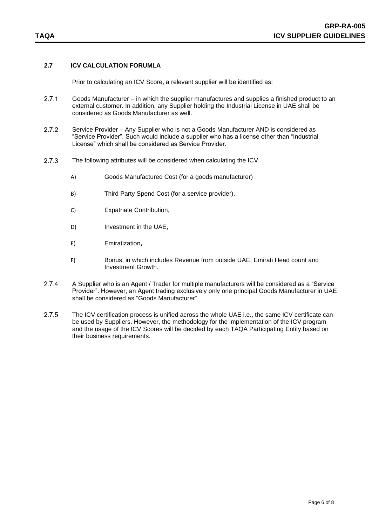### **2.7 ICV CALCULATION FORUMLA**

Prior to calculating an ICV Score, a relevant supplier will be identified as:

- $2.7.1$ Goods Manufacturer – in which the supplier manufactures and supplies a finished product to an external customer. In addition, any Supplier holding the Industrial License in UAE shall be considered as Goods Manufacturer as well.
- $2.7.2$ Service Provider – Any Supplier who is not a Goods Manufacturer AND is considered as "Service Provider". Such would include a supplier who has a license other than "Industrial License" which shall be considered as Service Provider.
- $2.7.3$ The following attributes will be considered when calculating the ICV
	- A) Goods Manufactured Cost (for a goods manufacturer)
	- B) Third Party Spend Cost (for a service provider),
	- C) Expatriate Contribution,
	- D) Investment in the UAE,
	- E) Emiratization**,**
	- F) Bonus, in which includes Revenue from outside UAE, Emirati Head count and Investment Growth.
- $2.7.4$ A Supplier who is an Agent / Trader for multiple manufacturers will be considered as a "Service Provider". However, an Agent trading exclusively only one principal Goods Manufacturer in UAE shall be considered as "Goods Manufacturer".
- $2.7.5$ The ICV certification process is unified across the whole UAE i.e., the same ICV certificate can be used by Suppliers. However, the methodology for the implementation of the ICV program and the usage of the ICV Scores will be decided by each TAQA Participating Entity based on their business requirements.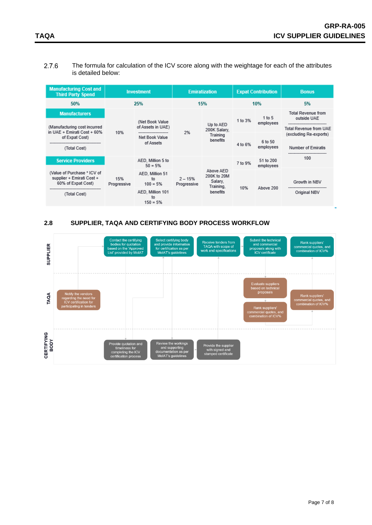The formula for calculation of the ICV score along with the weightage for each of the attributes  $2.7.6$ is detailed below:

| <b>Manufacturing Cost and</b><br><b>Third Party Spend</b>                      | <b>Investment</b>  |                                                                                               | <b>Emiratization</b>     |                                                              | <b>Expat Contribution</b> |                        | <b>Bonus</b>                                                       |
|--------------------------------------------------------------------------------|--------------------|-----------------------------------------------------------------------------------------------|--------------------------|--------------------------------------------------------------|---------------------------|------------------------|--------------------------------------------------------------------|
| 50%                                                                            | 25%                |                                                                                               | 15%                      |                                                              | 10%                       |                        | 5%                                                                 |
| <b>Manufacturers</b><br>(Manufacturing cost incurred                           |                    | (Net Book Value)<br>of Assets in UAE)<br>---------------------<br>Net Book Value<br>of Assets |                          | Up to AED<br>200K Salary.<br>Training<br>benefits            | 1 to 3%                   | 1 to 5<br>employees    | <b>Total Revenue from</b><br>outside UAE<br>Total Revenue from UAE |
| in UAE + Emirati Cost + 60%<br>of Expat Cost)                                  | 10%                |                                                                                               | 2%                       |                                                              | 4 to 6%                   | 6 to 50<br>employees   | (excluding Re-exports)                                             |
| --------------------------------<br>(Total Cost)                               |                    |                                                                                               |                          |                                                              |                           |                        | <b>Number of Emiratis</b>                                          |
| <b>Service Providers</b>                                                       | 15%<br>Progressive | AED, Million 5 to<br>$50 = 5%$                                                                | $2 - 15%$<br>Progressive | Above AED<br>200K to 20M<br>Salary,<br>Training.<br>benefits | 7 to 9%                   | 51 to 200<br>employees | 100                                                                |
| (Value of Purchase * ICV of<br>supplier + Emirati Cost +<br>60% of Expat Cost) |                    | AED, Million 51<br>to<br>$100 = 5%$                                                           |                          |                                                              | 10%                       | Above 200              | Growth in NBV                                                      |
| (Total Cost)                                                                   |                    | AED, Million 101<br>to<br>$150 = 5%$                                                          |                          |                                                              |                           |                        | Original NBV                                                       |

#### **2.8 SUPPLIER, TAQA AND CERTIFYING BODY PROCESS WORKFLOW**